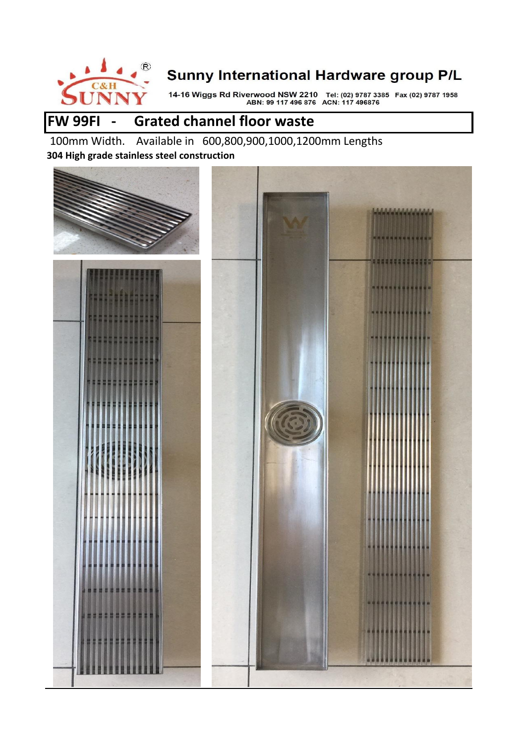

14-16 Wiggs Rd Riverwood NSW 2210 Tel: (02) 9787 3385 Fax (02) 9787 1958<br>ABN: 99 117 496 876 ACN: 117 496876

## **FW 99FI - Grated channel floor waste**

 100mm Width. Available in 600,800,900,1000,1200mm Lengths **304 High grade stainless steel construction** 

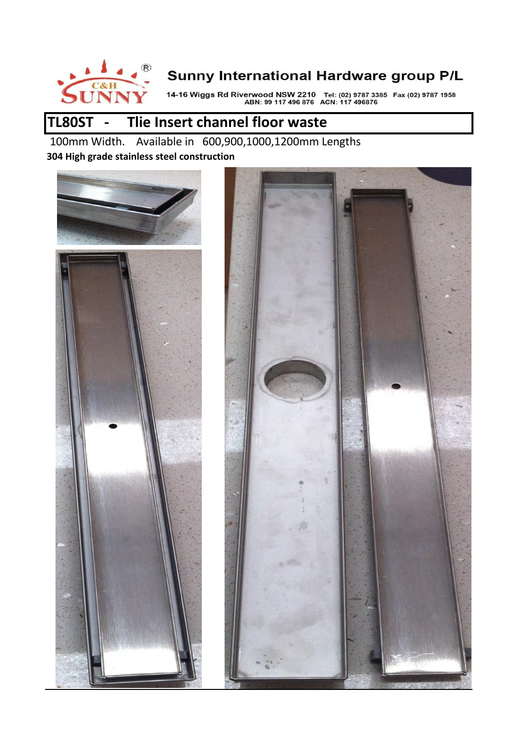

14-16 Wiggs Rd Riverwood NSW 2210 Tel: (02) 9787 3385 Fax (02) 9787 1958<br>ABN: 99 117 496 876 ACN: 117 496876

# **TL80ST - Tlie Insert channel floor waste**

 100mm Width. Available in 600,900,1000,1200mm Lengths **304 High grade stainless steel construction** 



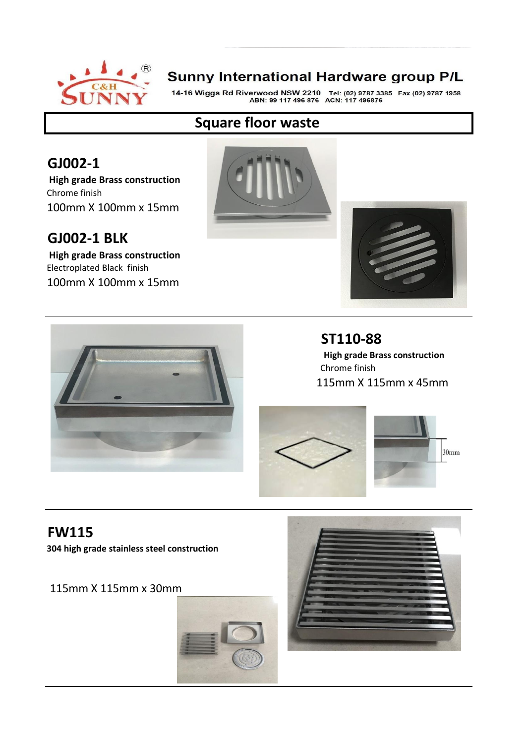

14-16 Wiggs Rd Riverwood NSW 2210 Tel: (02) 9787 3385 Fax (02) 9787 1958<br>ABN: 99 117 496 876 ACN: 117 496876

#### **Square floor waste**

## **GJ002-1**

 **High grade Brass construction**  Chrome finish 100mm X 100mm x 15mm

### **GJ002-1 BLK**

 **High grade Brass construction**  Electroplated Black finish 100mm X 100mm x 15mm







### **ST110-88**

 **High grade Brass construction**  Chrome finish 115mm X 115mm x 45mm





## **FW115**

**304 high grade stainless steel construction** 

115mm X 115mm x 30mm



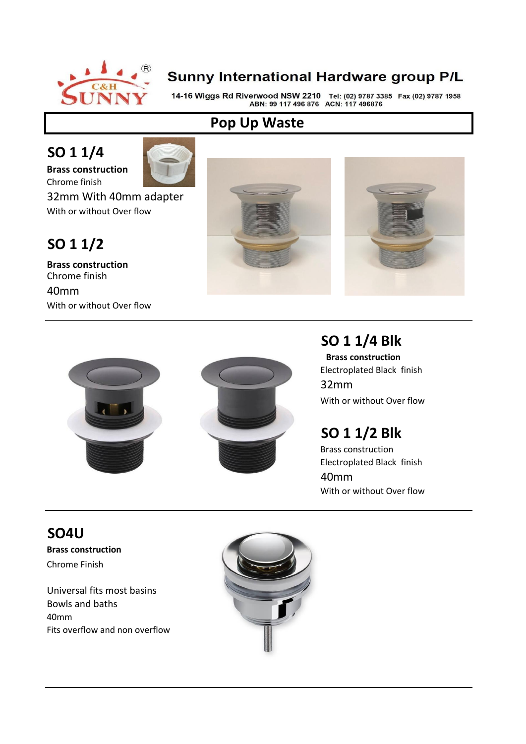

14-16 Wiggs Rd Riverwood NSW 2210 Tel: (02) 9787 3385 Fax (02) 9787 1958<br>ABN: 99 117 496 876 ACN: 117 496876

#### **Pop Up Waste**

# **SO 1 1/4**

**Brass construction** 



Chrome finish 32mm With 40mm adapter With or without Over flow

# **SO 1 1/2**

**Brass construction**  Chrome finish 40mm With or without Over flow







# **SO 1 1/4 Blk**

 **Brass construction**  Electroplated Black finish 32mm With or without Over flow

# **SO 1 1/2 Blk**

Brass construction Electroplated Black finish 40mm With or without Over flow

# **SO4U**

**Brass construction**  Chrome Finish

Universal fits most basins Bowls and baths 40mm Fits overflow and non overflow